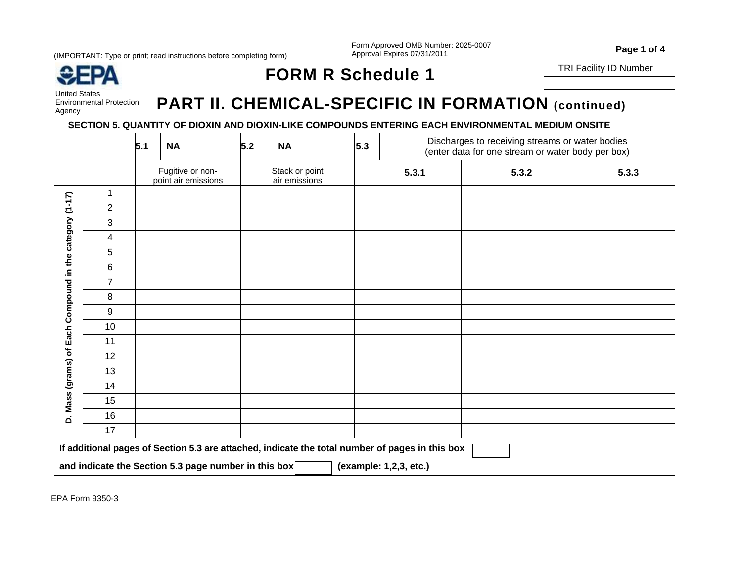(IMPORTANT: Type or print; read instructions before completing form)

Form Approved OMB Number: 2025-0007 Form Approved OMB Number: 2025-0007<br>Approval Expires 07/31/2011

|--|--|

United States

## FORM R Schedule 1 **FORM R Schedule 1**

Environmental Protection

# **Environmental Protection** PART II. CHEMICAL-SPECIFIC IN FORMATION (continued)

### **SECTION 5. QUANTITY OF DIOXIN AND DIOXIN-LIKE COMPOUNDS ENTERING EACH ENVIRONMENTAL MEDIUM ONSITE**

|                                                         |                | 5.1                                     | 5.2<br><b>NA</b><br><b>NA</b> |                                                      |                                 |  |  | 5.3 | Discharges to receiving streams or water bodies<br>(enter data for one stream or water body per box) |       |       |  |  |  |  |
|---------------------------------------------------------|----------------|-----------------------------------------|-------------------------------|------------------------------------------------------|---------------------------------|--|--|-----|------------------------------------------------------------------------------------------------------|-------|-------|--|--|--|--|
|                                                         |                | Fugitive or non-<br>point air emissions |                               |                                                      | Stack or point<br>air emissions |  |  |     | 5.3.1                                                                                                | 5.3.2 | 5.3.3 |  |  |  |  |
|                                                         | $\mathbf 1$    |                                         |                               |                                                      |                                 |  |  |     |                                                                                                      |       |       |  |  |  |  |
|                                                         | $\overline{2}$ |                                         |                               |                                                      |                                 |  |  |     |                                                                                                      |       |       |  |  |  |  |
|                                                         | 3              |                                         |                               |                                                      |                                 |  |  |     |                                                                                                      |       |       |  |  |  |  |
|                                                         | 4              |                                         |                               |                                                      |                                 |  |  |     |                                                                                                      |       |       |  |  |  |  |
|                                                         | 5              |                                         |                               |                                                      |                                 |  |  |     |                                                                                                      |       |       |  |  |  |  |
|                                                         | 6              |                                         |                               |                                                      |                                 |  |  |     |                                                                                                      |       |       |  |  |  |  |
|                                                         | $\overline{7}$ |                                         |                               |                                                      |                                 |  |  |     |                                                                                                      |       |       |  |  |  |  |
| D. Mass (grams) of Each Compound in the category (1-17) | 8              |                                         |                               |                                                      |                                 |  |  |     |                                                                                                      |       |       |  |  |  |  |
|                                                         | 9              |                                         |                               |                                                      |                                 |  |  |     |                                                                                                      |       |       |  |  |  |  |
|                                                         | 10             |                                         |                               |                                                      |                                 |  |  |     |                                                                                                      |       |       |  |  |  |  |
|                                                         | 11             |                                         |                               |                                                      |                                 |  |  |     |                                                                                                      |       |       |  |  |  |  |
|                                                         | 12             |                                         |                               |                                                      |                                 |  |  |     |                                                                                                      |       |       |  |  |  |  |
|                                                         | 13             |                                         |                               |                                                      |                                 |  |  |     |                                                                                                      |       |       |  |  |  |  |
|                                                         | 14             |                                         |                               |                                                      |                                 |  |  |     |                                                                                                      |       |       |  |  |  |  |
|                                                         | 15             |                                         |                               |                                                      |                                 |  |  |     |                                                                                                      |       |       |  |  |  |  |
|                                                         | 16             |                                         |                               |                                                      |                                 |  |  |     |                                                                                                      |       |       |  |  |  |  |
|                                                         | 17             |                                         |                               |                                                      |                                 |  |  |     |                                                                                                      |       |       |  |  |  |  |
|                                                         |                |                                         |                               |                                                      |                                 |  |  |     | If additional pages of Section 5.3 are attached, indicate the total number of pages in this box      |       |       |  |  |  |  |
|                                                         |                |                                         |                               | and indicate the Section 5.3 page number in this box |                                 |  |  |     | (example: 1,2,3, etc.)                                                                               |       |       |  |  |  |  |

EPA Form 9350-3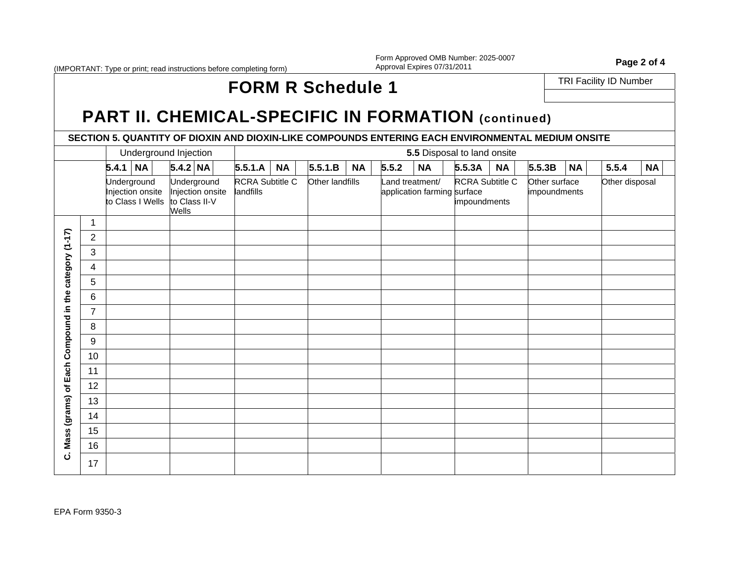(IMPORTANT: Type or print; read instructions before completing form)

Form Approved OMB Number: 2025-0007 Form Approved OMB Number: 2025-0007<br>Approval Expires 07/31/2011

### TRI Facility ID Number **FORM R Schedule 1**

## PART II. CHEMICAL-SPECIFIC IN FORMATION (continued)

**SECTION 5. QUANTITY OF DIOXIN AND DIOXIN-LIKE COMPOUNDS ENTERING EACH ENVIRONMENTAL MEDIUM ONSITE** 

|                                                      |                | Underground Injection                               |                                                                  |                              |           |                 |           |       |                 | 5.5 Disposal to land onsite                                    |           |                               |           |                |           |
|------------------------------------------------------|----------------|-----------------------------------------------------|------------------------------------------------------------------|------------------------------|-----------|-----------------|-----------|-------|-----------------|----------------------------------------------------------------|-----------|-------------------------------|-----------|----------------|-----------|
|                                                      |                | $5.4.1$ NA                                          | $5.4.2$ NA                                                       | 5.5.1.A                      | <b>NA</b> | 5.5.1.B         | <b>NA</b> | 5.5.2 | <b>NA</b>       | 5.5.3A                                                         | <b>NA</b> | 5.5.3B                        | <b>NA</b> | 5.5.4          | <b>NA</b> |
|                                                      |                | Underground<br>Injection onsite<br>to Class I Wells | Underground<br>Injection onsite<br>to Class II-V<br><b>Wells</b> | RCRA Subtitle C<br>landfills |           | Other landfills |           |       | Land treatment/ | RCRA Subtitle C<br>application farming surface<br>impoundments |           | Other surface<br>impoundments |           | Other disposal |           |
|                                                      | 1              |                                                     |                                                                  |                              |           |                 |           |       |                 |                                                                |           |                               |           |                |           |
| Mass (grams) of Each Compound in the category (1-17) | $\overline{c}$ |                                                     |                                                                  |                              |           |                 |           |       |                 |                                                                |           |                               |           |                |           |
|                                                      | 3              |                                                     |                                                                  |                              |           |                 |           |       |                 |                                                                |           |                               |           |                |           |
|                                                      | 4              |                                                     |                                                                  |                              |           |                 |           |       |                 |                                                                |           |                               |           |                |           |
|                                                      | 5              |                                                     |                                                                  |                              |           |                 |           |       |                 |                                                                |           |                               |           |                |           |
|                                                      | 6              |                                                     |                                                                  |                              |           |                 |           |       |                 |                                                                |           |                               |           |                |           |
|                                                      | $\overline{7}$ |                                                     |                                                                  |                              |           |                 |           |       |                 |                                                                |           |                               |           |                |           |
|                                                      | 8              |                                                     |                                                                  |                              |           |                 |           |       |                 |                                                                |           |                               |           |                |           |
|                                                      | 9              |                                                     |                                                                  |                              |           |                 |           |       |                 |                                                                |           |                               |           |                |           |
|                                                      | 10             |                                                     |                                                                  |                              |           |                 |           |       |                 |                                                                |           |                               |           |                |           |
|                                                      | 11             |                                                     |                                                                  |                              |           |                 |           |       |                 |                                                                |           |                               |           |                |           |
|                                                      | 12             |                                                     |                                                                  |                              |           |                 |           |       |                 |                                                                |           |                               |           |                |           |
|                                                      | 13             |                                                     |                                                                  |                              |           |                 |           |       |                 |                                                                |           |                               |           |                |           |
|                                                      | 14             |                                                     |                                                                  |                              |           |                 |           |       |                 |                                                                |           |                               |           |                |           |
|                                                      | 15             |                                                     |                                                                  |                              |           |                 |           |       |                 |                                                                |           |                               |           |                |           |
|                                                      | 16             |                                                     |                                                                  |                              |           |                 |           |       |                 |                                                                |           |                               |           |                |           |
| ن                                                    | 17             |                                                     |                                                                  |                              |           |                 |           |       |                 |                                                                |           |                               |           |                |           |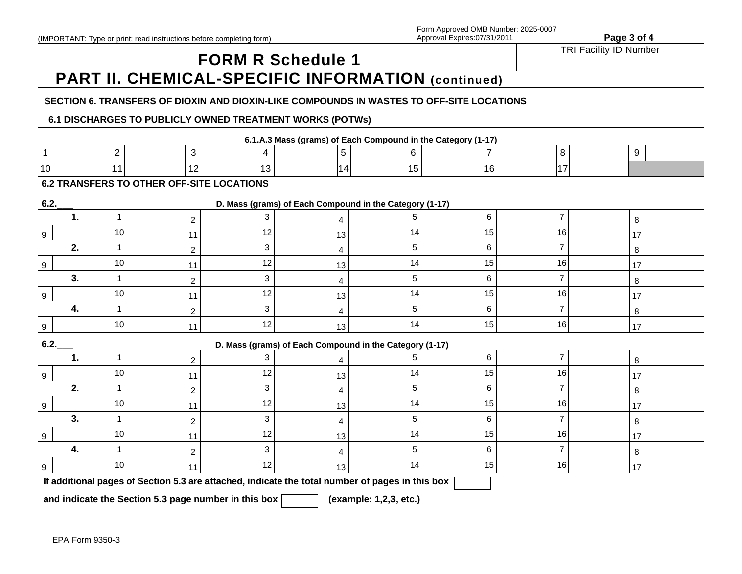# **FORM R Schedule 1** TRI Facility ID Number **PART II. CHEMICAL-SPECIFIC INFORMATION (continued)**

#### **SECTION 6. TRANSFERS OF DIOXIN AND DIOXIN-LIKE COMPOUNDS IN WASTES TO OFF-SITE LOCATIONS**

### **6.1 DISCHARGES TO PUBLICLY OWNED TREATMENT WORKS (POTWs)**

| 6.1.A.3 Mass (grams) of Each Compound in the Category (1-17) |                                 |                                                                                                 |    |                        |                                                         |                |                |    |  |  |  |  |  |  |  |
|--------------------------------------------------------------|---------------------------------|-------------------------------------------------------------------------------------------------|----|------------------------|---------------------------------------------------------|----------------|----------------|----|--|--|--|--|--|--|--|
| $\mathbf{1}$                                                 | $\overline{2}$                  | 3                                                                                               | 4  | 5                      | 6                                                       | $\overline{7}$ | 8              | 9  |  |  |  |  |  |  |  |
| 10                                                           | 11                              | 12                                                                                              | 13 | 14                     | 15                                                      | 16             | 17             |    |  |  |  |  |  |  |  |
|                                                              |                                 | <b>6.2 TRANSFERS TO OTHER OFF-SITE LOCATIONS</b>                                                |    |                        |                                                         |                |                |    |  |  |  |  |  |  |  |
| 6.2.                                                         |                                 |                                                                                                 |    |                        | D. Mass (grams) of Each Compound in the Category (1-17) |                |                |    |  |  |  |  |  |  |  |
| 1.                                                           | 7<br>6<br>3<br>1<br>5<br>8<br>2 |                                                                                                 |    |                        |                                                         |                |                |    |  |  |  |  |  |  |  |
| 9                                                            | 10                              | 11                                                                                              | 12 | 13                     | 14                                                      | 15             | 16             | 17 |  |  |  |  |  |  |  |
| 2.                                                           | 1                               | 2                                                                                               | 3  | 4                      | 5                                                       | 6              | 7              | 8  |  |  |  |  |  |  |  |
| 9                                                            | 10                              | 11                                                                                              | 12 | 13                     | 14                                                      | 15             | 16             | 17 |  |  |  |  |  |  |  |
| 3.                                                           | 1                               | 2                                                                                               | 3  | 4                      | 5                                                       | 6              | 7              | 8  |  |  |  |  |  |  |  |
| 9                                                            | 10                              | 11                                                                                              | 12 | 13                     | 14                                                      | 15             | 16             | 17 |  |  |  |  |  |  |  |
| 4.                                                           |                                 | 2                                                                                               | 3  | 4                      | 5                                                       | 6              | 7              | 8  |  |  |  |  |  |  |  |
| 9                                                            | 10                              | 11                                                                                              | 12 | 13                     | 14                                                      | 15             | 16             | 17 |  |  |  |  |  |  |  |
| 6.2.                                                         |                                 |                                                                                                 |    |                        | D. Mass (grams) of Each Compound in the Category (1-17) |                |                |    |  |  |  |  |  |  |  |
| 1.                                                           | 1                               | 2                                                                                               | 3  |                        | 5                                                       | 6              | $\overline{7}$ | 8  |  |  |  |  |  |  |  |
| 9                                                            | 10                              | 11                                                                                              | 12 | 13                     | 14                                                      | 15             | 16             | 17 |  |  |  |  |  |  |  |
| 2.                                                           | 1                               | 2                                                                                               | 3  | 4                      | 5                                                       | 6              | 7              | 8  |  |  |  |  |  |  |  |
| 9                                                            | 10                              | 11                                                                                              | 12 | 13                     | 14                                                      | 15             | 16             | 17 |  |  |  |  |  |  |  |
| 3.                                                           | 1                               | 2                                                                                               | 3  | 4                      | 5                                                       | 6              | 7              | 8  |  |  |  |  |  |  |  |
| 9                                                            | 10                              | 11                                                                                              | 12 | 13                     | 14                                                      | 15             | 16             | 17 |  |  |  |  |  |  |  |
| 4.                                                           |                                 | 2                                                                                               | 3  | 4                      | 5                                                       | 6              | 7              | 8  |  |  |  |  |  |  |  |
| 9                                                            | 10                              | 11                                                                                              | 12 | 13                     | 14                                                      | 15             | 16             | 17 |  |  |  |  |  |  |  |
|                                                              |                                 | If additional pages of Section 5.3 are attached, indicate the total number of pages in this box |    |                        |                                                         |                |                |    |  |  |  |  |  |  |  |
|                                                              |                                 | and indicate the Section 5.3 page number in this box                                            |    | (example: 1,2,3, etc.) |                                                         |                |                |    |  |  |  |  |  |  |  |
|                                                              |                                 |                                                                                                 |    |                        |                                                         |                |                |    |  |  |  |  |  |  |  |